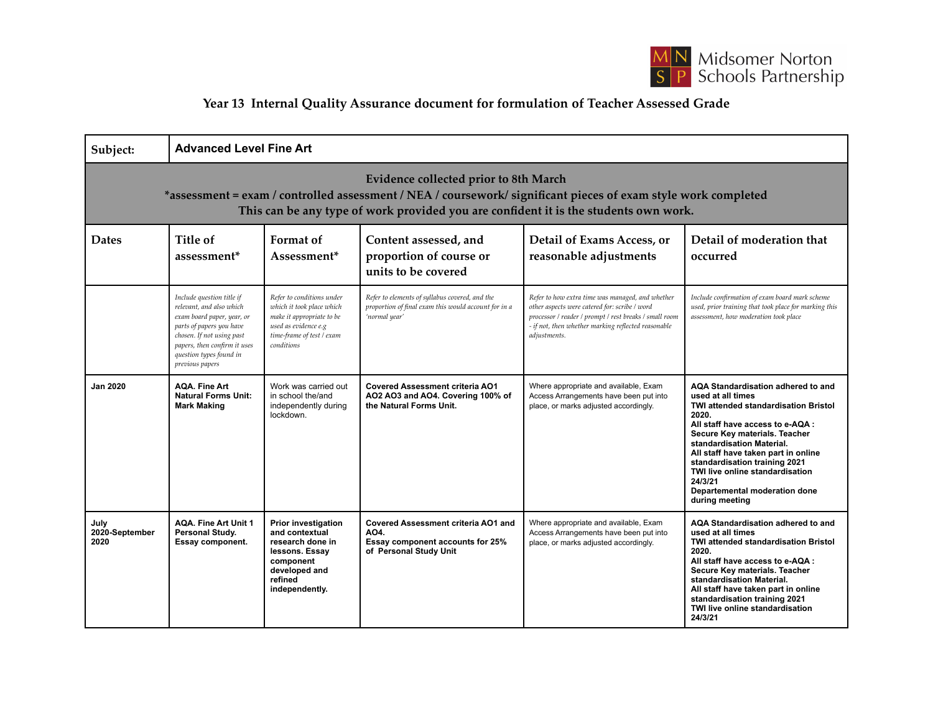

## **Year 13 Internal Quality Assurance document for formulation of Teacher Assessed Grade**

| Subject:                                                                                                                                                                                                                                        | <b>Advanced Level Fine Art</b>                                                                                                                                                                                             |                                                                                                                                                        |                                                                                                                         |                                                                                                                                                                                                                                    |                                                                                                                                                                                                                                                                                                                                                                                     |  |
|-------------------------------------------------------------------------------------------------------------------------------------------------------------------------------------------------------------------------------------------------|----------------------------------------------------------------------------------------------------------------------------------------------------------------------------------------------------------------------------|--------------------------------------------------------------------------------------------------------------------------------------------------------|-------------------------------------------------------------------------------------------------------------------------|------------------------------------------------------------------------------------------------------------------------------------------------------------------------------------------------------------------------------------|-------------------------------------------------------------------------------------------------------------------------------------------------------------------------------------------------------------------------------------------------------------------------------------------------------------------------------------------------------------------------------------|--|
| Evidence collected prior to 8th March<br>*assessment = exam / controlled assessment / NEA / coursework/ significant pieces of exam style work completed<br>This can be any type of work provided you are confident it is the students own work. |                                                                                                                                                                                                                            |                                                                                                                                                        |                                                                                                                         |                                                                                                                                                                                                                                    |                                                                                                                                                                                                                                                                                                                                                                                     |  |
| <b>Dates</b>                                                                                                                                                                                                                                    | Title of<br>assessment <sup>*</sup>                                                                                                                                                                                        | Format of<br>Assessment*                                                                                                                               | Content assessed, and<br>proportion of course or<br>units to be covered                                                 | Detail of Exams Access, or<br>reasonable adjustments                                                                                                                                                                               | Detail of moderation that<br>occurred                                                                                                                                                                                                                                                                                                                                               |  |
|                                                                                                                                                                                                                                                 | Include question title if<br>relevant, and also which<br>exam board paper, year, or<br>parts of papers you have<br>chosen. If not using past<br>papers, then confirm it uses<br>question types found in<br>previous papers | Refer to conditions under<br>which it took place which<br>make it appropriate to be<br>used as evidence e.g<br>time-frame of test / exam<br>conditions | Refer to elements of syllabus covered, and the<br>proportion of final exam this would account for in a<br>'normal year' | Refer to how extra time was managed, and whether<br>other aspects were catered for: scribe / word<br>processor / reader / prompt / rest breaks / small room<br>- if not, then whether marking reflected reasonable<br>adjustments. | Include confirmation of exam board mark scheme<br>used, prior training that took place for marking this<br>assessment, how moderation took place                                                                                                                                                                                                                                    |  |
| <b>Jan 2020</b>                                                                                                                                                                                                                                 | <b>AQA. Fine Art</b><br><b>Natural Forms Unit:</b><br><b>Mark Making</b>                                                                                                                                                   | Work was carried out<br>in school the/and<br>independently during<br>lockdown.                                                                         | <b>Covered Assessment criteria AO1</b><br>AO2 AO3 and AO4. Covering 100% of<br>the Natural Forms Unit.                  | Where appropriate and available, Exam<br>Access Arrangements have been put into<br>place, or marks adjusted accordingly.                                                                                                           | AQA Standardisation adhered to and<br>used at all times<br>TWI attended standardisation Bristol<br>2020.<br>All staff have access to e-AQA :<br>Secure Key materials. Teacher<br>standardisation Material.<br>All staff have taken part in online<br>standardisation training 2021<br>TWI live online standardisation<br>24/3/21<br>Departemental moderation done<br>during meeting |  |
| July<br>2020-September<br>2020                                                                                                                                                                                                                  | <b>AQA. Fine Art Unit 1</b><br>Personal Study.<br>Essay component.                                                                                                                                                         | <b>Prior investigation</b><br>and contextual<br>research done in<br>lessons. Essay<br>component<br>developed and<br>refined<br>independently.          | <b>Covered Assessment criteria AO1 and</b><br>AO4.<br>Essay component accounts for 25%<br>of Personal Study Unit        | Where appropriate and available, Exam<br>Access Arrangements have been put into<br>place, or marks adjusted accordingly.                                                                                                           | AQA Standardisation adhered to and<br>used at all times<br><b>TWI attended standardisation Bristol</b><br>2020.<br>All staff have access to e-AQA :<br>Secure Key materials. Teacher<br>standardisation Material.<br>All staff have taken part in online<br>standardisation training 2021<br>TWI live online standardisation<br>24/3/21                                             |  |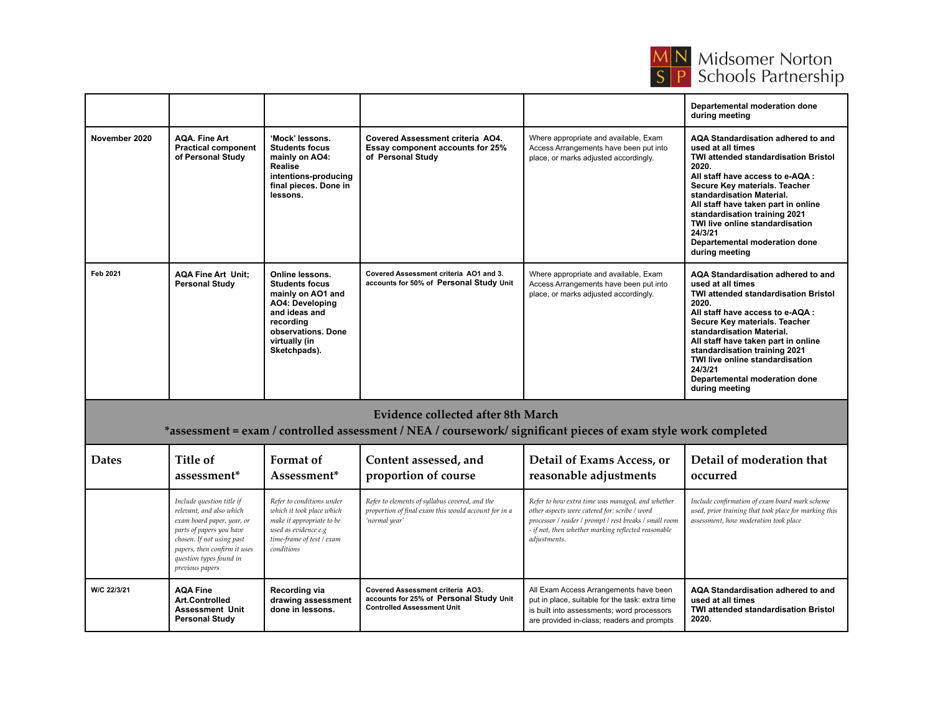

|               |                                                                         |                                                                                                                                                                              |                                                                                           |                                                                                                                          | Departemental moderation done<br>during meeting                                                                                                                                                                                                                                                                                                                                            |
|---------------|-------------------------------------------------------------------------|------------------------------------------------------------------------------------------------------------------------------------------------------------------------------|-------------------------------------------------------------------------------------------|--------------------------------------------------------------------------------------------------------------------------|--------------------------------------------------------------------------------------------------------------------------------------------------------------------------------------------------------------------------------------------------------------------------------------------------------------------------------------------------------------------------------------------|
| November 2020 | <b>AOA. Fine Art</b><br><b>Practical component</b><br>of Personal Study | 'Mock' lessons.<br><b>Students focus</b><br>mainly on AO4:<br>Realise<br>intentions-producing<br>final pieces. Done in<br>lessons.                                           | Covered Assessment criteria AO4.<br>Essay component accounts for 25%<br>of Personal Study | Where appropriate and available, Exam<br>Access Arrangements have been put into<br>place, or marks adjusted accordingly. | AQA Standardisation adhered to and<br>used at all times<br>TWI attended standardisation Bristol<br>2020.<br>All staff have access to e-AQA :<br>Secure Key materials. Teacher<br>standardisation Material.<br>All staff have taken part in online<br>standardisation training 2021<br>TWI live online standardisation<br>24/3/21<br>Departemental moderation done<br>during meeting        |
| Feb 2021      | <b>AQA Fine Art Unit:</b><br><b>Personal Study</b>                      | Online lessons.<br><b>Students focus</b><br>mainly on AO1 and<br><b>AO4: Developing</b><br>and ideas and<br>recording<br>observations. Done<br>virtually (in<br>Sketchpads). | Covered Assessment criteria AO1 and 3.<br>accounts for 50% of Personal Study Unit         | Where appropriate and available, Exam<br>Access Arrangements have been put into<br>place, or marks adjusted accordingly. | AQA Standardisation adhered to and<br>used at all times<br><b>TWI attended standardisation Bristol</b><br>2020.<br>All staff have access to e-AQA :<br>Secure Key materials. Teacher<br>standardisation Material.<br>All staff have taken part in online<br>standardisation training 2021<br>TWI live online standardisation<br>24/3/21<br>Departemental moderation done<br>during meeting |

## **Evidence collected after 8th March**

## \*assessment = exam / controlled assessment / NEA / coursework/ significant pieces of exam style work completed

| <b>Dates</b> | Title of<br>assessment <sup>*</sup>                                                                                                                                                                                        | Format of<br>Assessment <sup>*</sup>                                                                                                                   | Content assessed, and<br>proportion of course                                                                           | Detail of Exams Access, or<br>reasonable adjustments                                                                                                                                                                               | Detail of moderation that<br>occurred                                                                                                            |
|--------------|----------------------------------------------------------------------------------------------------------------------------------------------------------------------------------------------------------------------------|--------------------------------------------------------------------------------------------------------------------------------------------------------|-------------------------------------------------------------------------------------------------------------------------|------------------------------------------------------------------------------------------------------------------------------------------------------------------------------------------------------------------------------------|--------------------------------------------------------------------------------------------------------------------------------------------------|
|              | Include question title if<br>relevant, and also which<br>exam board paper, year, or<br>parts of papers you have<br>chosen. If not using past<br>papers, then confirm it uses<br>question types found in<br>previous papers | Refer to conditions under<br>which it took place which<br>make it appropriate to be<br>used as evidence e.g<br>time-frame of test / exam<br>conditions | Refer to elements of syllabus covered, and the<br>proportion of final exam this would account for in a<br>'normal year' | Refer to how extra time was managed, and whether<br>other aspects were catered for: scribe / word<br>processor / reader / prompt / rest breaks / small room<br>- if not, then whether marking reflected reasonable<br>adjustments. | Include confirmation of exam board mark scheme<br>used, prior training that took place for marking this<br>assessment, how moderation took place |
| W/C 22/3/21  | <b>AQA Fine</b><br>Art.Controlled<br><b>Assessment Unit</b><br><b>Personal Study</b>                                                                                                                                       | Recording via<br>drawing assessment<br>done in lessons.                                                                                                | <b>Covered Assessment criteria AO3.</b><br>accounts for 25% of Personal Study Unit<br><b>Controlled Assessment Unit</b> | All Exam Access Arrangements have been<br>put in place, suitable for the task: extra time<br>is built into assessments; word processors<br>are provided in-class; readers and prompts                                              | AQA Standardisation adhered to and<br>used at all times<br><b>TWI attended standardisation Bristol</b><br>2020.                                  |